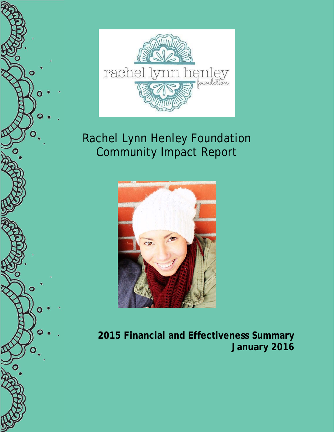

# Rachel Lynn Henley Foundation Community Impact Report



다 이 사람들은 아이들이 아이들이 아이들이 아니다.

 $\overline{O}$ 

 $\circ$ 

O

**2015 Financial and Effectiveness Summary January 2016**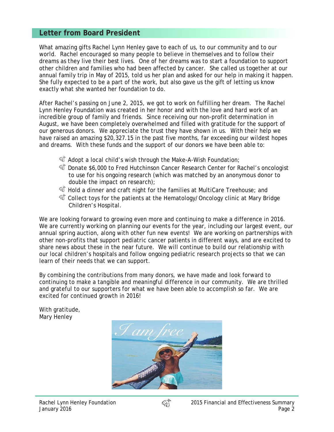#### **Letter from Board President**

What amazing gifts Rachel Lynn Henley gave to each of us, to our community and to our world. Rachel encouraged so many people to believe in themselves and to follow their dreams as they live their best lives. One of her dreams was to start a foundation to support other children and families who had been affected by cancer. She called us together at our annual family trip in May of 2015, told us her plan and asked for our help in making it happen. She fully expected to be a part of the work, but also gave us the gift of letting us know exactly what she wanted her foundation to do.

After Rachel's passing on June 2, 2015, we got to work on fulfilling her dream. The Rachel Lynn Henley Foundation was created in her honor and with the love and hard work of an incredible group of family and friends. Since receiving our non-profit determination in August, we have been completely overwhelmed and filled with gratitude for the support of our generous donors. We appreciate the trust they have shown in us. With their help we have raised an amazing \$20,327.15 in the past five months, far exceeding our wildest hopes and dreams. With these funds and the support of our donors we have been able to:

- $\mathcal{R}$  Adopt a local child's wish through the Make-A-Wish Foundation;
- **W** Donate \$6,000 to Fred Hutchinson Cancer Research Center for Rachel's oncologist to use for his ongoing research (which was matched by an anonymous donor to double the impact on research);
- $\circledast$  Hold a dinner and craft night for the families at MultiCare Treehouse; and
- Collect toys for the patients at the Hematology/Oncology clinic at Mary Bridge Children's Hospital.

We are looking forward to growing even more and continuing to make a difference in 2016. We are currently working on planning our events for the year, including our largest event, our annual spring auction, along with other fun new events! We are working on partnerships with other non-profits that support pediatric cancer patients in different ways, and are excited to share news about these in the near future. We will continue to build our relationship with our local children's hospitals and follow ongoing pediatric research projects so that we can learn of their needs that we can support.

By combining the contributions from many donors, we have made and look forward to continuing to make a tangible and meaningful difference in our community. We are thrilled and grateful to our supporters for what we have been able to accomplish so far. We are excited for continued growth in 2016!

With gratitude. Mary Henley

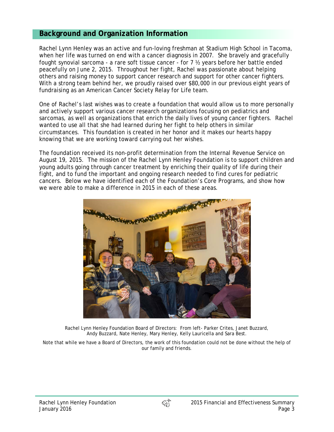#### **Background and Organization Information**

Rachel Lynn Henley was an active and fun-loving freshman at Stadium High School in Tacoma, when her life was turned on end with a cancer diagnosis in 2007. She bravely and gracefully fought synovial sarcoma - a rare soft tissue cancer - for 7 ½ years before her battle ended peacefully on June 2, 2015. Throughout her fight, Rachel was passionate about helping others and raising money to support cancer research and support for other cancer fighters. With a strong team behind her, we proudly raised over \$80,000 in our previous eight years of fundraising as an American Cancer Society Relay for Life team.

One of Rachel's last wishes was to create a foundation that would allow us to more personally and actively support various cancer research organizations focusing on pediatrics and sarcomas, as well as organizations that enrich the daily lives of young cancer fighters. Rachel wanted to use all that she had learned during her fight to help others in similar circumstances. This foundation is created in her honor and it makes our hearts happy knowing that we are working toward carrying out her wishes.

The foundation received its non-profit determination from the Internal Revenue Service on August 19, 2015. The mission of the Rachel Lynn Henley Foundation is to support children and young adults going through cancer treatment by enriching their quality of life during their fight, and to fund the important and ongoing research needed to find cures for pediatric cancers. Below we have identified each of the Foundation's Core Programs, and show how we were able to make a difference in 2015 in each of these areas.



Rachel Lynn Henley Foundation Board of Directors: From left- Parker Crites, Janet Buzzard, Andy Buzzard, Nate Henley, Mary Henley, Kelly Lauricella and Sara Best.

Note that while we have a Board of Directors, the work of this foundation could not be done without the help of our family and friends.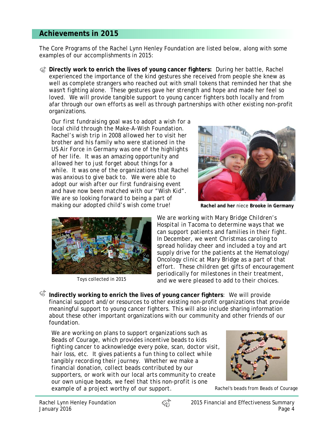## **Achievements in 2015**

The Core Programs of the Rachel Lynn Henley Foundation are listed below, along with some examples of our accomplishments in 2015:

**Directly work to enrich the lives of young cancer fighters:** During her battle, Rachel experienced the importance of the kind gestures she received from people she knew as well as complete strangers who reached out with small tokens that reminded her that she wasn't fighting alone. These gestures gave her strength and hope and made her feel so loved. We will provide tangible support to young cancer fighters both locally and from afar through our own efforts as well as through partnerships with other existing non-profit organizations.

*Our first fundraising goal was to adopt a wish for a local child through the Make-A-Wish Foundation. Rachel's wish trip in 2008 allowed her to visit her brother and his family who were stationed in the US Air Force in Germany was one of the highlights of her life. It was an amazing opportunity and allowed her to just forget about things for a while. It was one of the organizations that Rachel was anxious to give back to. We were able to adopt our wish after our first fundraising event and have now been matched with our "Wish Kid". We are so looking forward to being a part of making our adopted child's wish come true!*



**Rachel and her** niece **Brooke in Germany**



Toys collected in 2015

*We are working with Mary Bridge Children's Hospital in Tacoma to determine ways that we can support patients and families in their fight. In December, we went Christmas caroling to spread holiday cheer and included a toy and art supply drive for the patients at the Hematology/ Oncology clinic at Mary Bridge as a part of that effort. These children get gifts of encouragement periodically for milestones in their treatment, and we were pleased to add to their choices.*

**Indirectly working to enrich the lives of young cancer fighters**: We will provide financial support and/or resources to other existing non-profit organizations that provide meaningful support to young cancer fighters. This will also include sharing information about these other important organizations with our community and other friends of our foundation.

*We are working on plans to support organizations such as Beads of Courage, which provides incentive beads to kids fighting cancer to acknowledge every poke, scan, doctor visit, hair loss, etc. It gives patients a fun thing to collect while tangibly recording their journey. Whether we make a financial donation, collect beads contributed by our supporters, or work with our local arts community to create our own unique beads, we feel that this non-profit is one example of a project worthy of our support.* 



Rachel's beads from Beads of Courage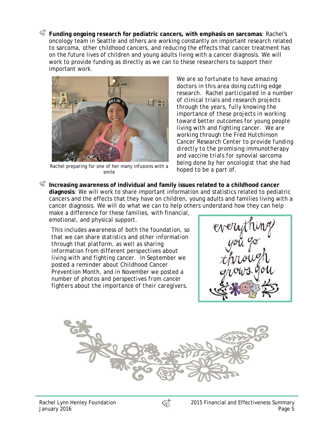**Funding ongoing research for pediatric cancers, with emphasis on sarcomas**: Rachel's oncology team in Seattle and others are working constantly on important research related to sarcoma, other childhood cancers, and reducing the effects that cancer treatment has on the future lives of children and young adults living with a cancer diagnosis. We will work to provide funding as directly as we can to these researchers to support their important work.



Rachel preparing for one of her many infusions with a smile

*We are so fortunate to have amazing doctors in this area doing cutting edge research. Rachel participated in a number of clinical trials and research projects through the years, fully knowing the importance of these projects in working toward better outcomes for young people living with and fighting cancer. We are working through the Fred Hutchinson Cancer Research Center to provide funding directly to the promising immunotherapy and vaccine trials for synovial sarcoma being done by her oncologist that she had hoped to be a part of.* 

 **Increasing awareness of individual and family issues related to a childhood cancer diagnosis**: We will work to share important information and statistics related to pediatric cancers and the effects that they have on children, young adults and families living with a cancer diagnosis. We will do what we can to help others understand how they can help make a difference for these families, with financial,

emotional, and physical support.

*This includes awareness of both the foundation, so that we can share statistics and other information through that platform, as well as sharing information from different perspectives about living with and fighting cancer. In September we posted a reminder about Childhood Cancer Prevention Month, and in November we posted a number of photos and perspectives from cancer fighters about the importance of their caregivers.* 



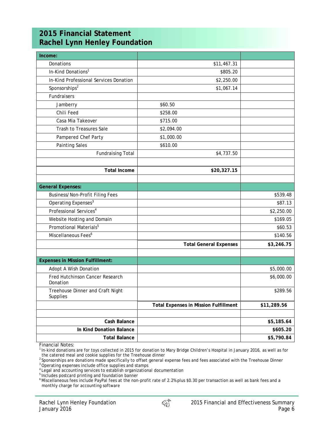#### **2015 Financial Statement Rachel Lynn Henley Foundation**

| Income:                                      |                                              |             |
|----------------------------------------------|----------------------------------------------|-------------|
| Donations                                    | \$11,467.31                                  |             |
| In-Kind Donations <sup>1</sup>               | \$805.20                                     |             |
| In-Kind Professional Services Donation       | \$2,250.00                                   |             |
| Sponsorships <sup>2</sup>                    | \$1,067.14                                   |             |
| Fundraisers                                  |                                              |             |
| Jamberry                                     | \$60.50                                      |             |
| Chili Feed                                   | \$258.00                                     |             |
| Casa Mia Takeover                            | \$715.00                                     |             |
| Trash to Treasures Sale                      | \$2,094.00                                   |             |
| Pampered Chef Party                          | \$1,000.00                                   |             |
| <b>Painting Sales</b>                        | \$610.00                                     |             |
| <b>Fundraising Total</b>                     | \$4,737.50                                   |             |
|                                              |                                              |             |
| <b>Total Income</b>                          | \$20,327.15                                  |             |
|                                              |                                              |             |
| <b>General Expenses:</b>                     |                                              |             |
| Business/Non-Profit Filing Fees              |                                              | \$539.48    |
| Operating Expenses <sup>3</sup>              |                                              | \$87.13     |
| Professional Services <sup>4</sup>           |                                              | \$2,250.00  |
| Website Hosting and Domain                   |                                              | \$169.05    |
| Promotional Materials <sup>5</sup>           |                                              | \$60.53     |
| Miscellaneous Fees <sup>6</sup>              |                                              | \$140.56    |
|                                              | <b>Total General Expenses</b>                | \$3,246.75  |
|                                              |                                              |             |
| <b>Expenses in Mission Fulfillment:</b>      |                                              |             |
| Adopt A Wish Donation                        |                                              | \$5,000.00  |
| Fred Hutchinson Cancer Research<br>Donation  |                                              | \$6,000.00  |
| Treehouse Dinner and Craft Night<br>Supplies |                                              | \$289.56    |
|                                              | <b>Total Expenses in Mission Fulfillment</b> | \$11,289.56 |
|                                              |                                              |             |
| Cash Balance                                 |                                              | \$5,185.64  |
| In Kind Donation Balance                     |                                              | \$605.20    |
| <b>Total Balance</b>                         |                                              | \$5,790.84  |

Financial Notes:

j

<sup>1</sup> In-kind donations are for toys collected in 2015 for donation to Mary Bridge Children's Hospital in January 2016, as well as for the catered meal and cookie supplies for the Treehouse dinner

2 Sponsorships are donations made specifically to offset general expense fees and fees associated with the Treehouse Dinner<br><sup>3</sup> Operating expenses include office supplies and stamps<br><sup>4</sup> Legal and accounting services to est

<sup>5</sup> Includes postcard printing and foundation banner

6 Miscellaneous fees include PayPal fees at the non-profit rate of 2.2% plus \$0.30 per transaction as well as bank fees and a monthly charge for accounting software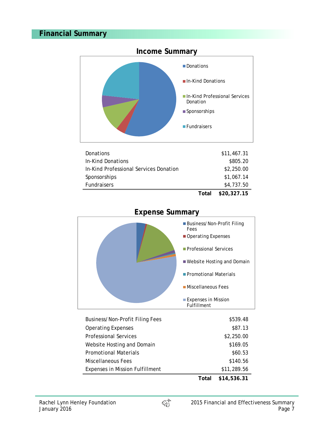#### **Income Summary**



# Business/Non-Profit Filing Fees Operating Expenses **Professional Services** Website Hosting and Domain **Promotional Materials Miscellaneous Fees Expenses in Mission** Fulfillment

|                                        | Total | \$14,536.31 |
|----------------------------------------|-------|-------------|
| <b>Expenses in Mission Fulfillment</b> |       | \$11,289.56 |
| Miscellaneous Fees                     |       | \$140.56    |
| <b>Promotional Materials</b>           |       | \$60.53     |
| Website Hosting and Domain             |       | \$169.05    |
| <b>Professional Services</b>           |       | \$2,250.00  |
| <b>Operating Expenses</b>              |       | \$87.13     |
| Business/Non-Profit Filing Fees        |       | \$539.48    |
|                                        |       |             |

## **Expense Summary**

j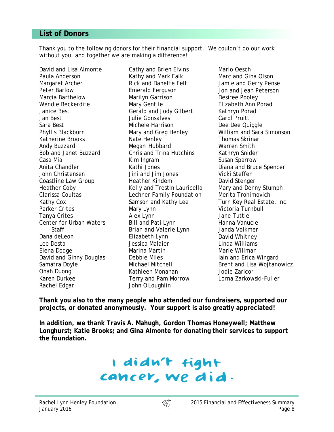#### **List of Donors**

Thank you to the following donors for their financial support. We couldn't do our work without you, and together we are making a difference!

David and Lisa Almonte Paula Anderson Margaret Archer Peter Barlow Marcia Barthelow Wendie Beckerdite Janice Best Jan Best Sara Best Phyllis Blackburn Katherine Brooks Andy Buzzard Bob and Janet Buzzard Casa Mia Anita Chandler John Christensen Coastline Law Group Heather Coby Clarissa Coultas Kathy Cox Parker Crites Tanya Crites Center for Urban Waters Staff Dana deLeon Lee Desta Elena Dodge David and Ginny Douglas Samatra Doyle Onah Duong Karen Durkee Rachel Edgar

Cathy and Brien Elvins Kathy and Mark Falk Rick and Danette Felt Emerald Ferguson Marilyn Garrison Mary Gentile Gerald and Jody Gilbert Julie Gonsalves Michele Harrison Mary and Greg Henley Nate Henley Megan Hubbard Chris and Trina Hutchins Kim Ingram Kathi Jones Jini and Jim Jones Heather Kindem Kelly and Trestin Lauricella Lechner Family Foundation Samson and Kathy Lee Mary Lynn Alex Lynn Bill and Pati Lynn Brian and Valerie Lynn Elizabeth Lynn Jessica Malaier Marina Martin Debbie Miles Michael Mitchell Kathleen Monahan Terry and Pam Morrow John O'Loughlin

Marlo Oesch Marc and Gina Olson Jamie and Gerry Pense Jon and Jean Peterson Desiree Pooley Elizabeth Ann Porad Kathryn Porad Carol Pruitt Dee Dee Quiggle William and Sara Simonson Thomas Skrinar Warren Smith Kathryn Snider Susan Sparrow Diana and Bruce Spencer Vicki Steffen David Stenger Mary and Denny Stumph Merita Trohimovich Turn Key Real Estate, Inc. Victoria Turnbull Jane Tuttle Hanna Vanucie Janda Volkmer David Whitney Linda Williams Marie Willman Iain and Erica Wingard Brent and Lisa Wojtanowicz Jodie Zaricor Lorna Zarkowski-Fuller

**Thank you also to the many people who attended our fundraisers, supported our projects, or donated anonymously. Your support is also greatly appreciated!** 

**In addition, we thank Travis A. Mahugh, Gordon Thomas Honeywell; Matthew Longhurst; Katie Brooks; and Gina Almonte for donating their services to support the foundation.** 

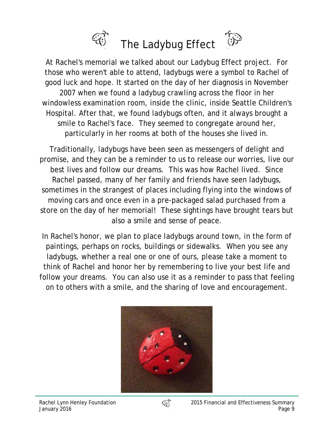

At Rachel's memorial we talked about our Ladybug Effect project. For those who weren't able to attend, ladybugs were a symbol to Rachel of good luck and hope. It started on the day of her diagnosis in November 2007 when we found a ladybug crawling across the floor in her windowless examination room, inside the clinic, inside Seattle Children's Hospital. After that, we found ladybugs often, and it always brought a smile to Rachel's face. They seemed to congregate around her, particularly in her rooms at both of the houses she lived in.

Traditionally, ladybugs have been seen as messengers of delight and promise, and they can be a reminder to us to release our worries, live our best lives and follow our dreams. This was how Rachel lived. Since Rachel passed, many of her family and friends have seen ladybugs, sometimes in the strangest of places including flying into the windows of moving cars and once even in a pre-packaged salad purchased from a store on the day of her memorial! These sightings have brought tears but also a smile and sense of peace.

In Rachel's honor, we plan to place ladybugs around town, in the form of paintings, perhaps on rocks, buildings or sidewalks. When you see any ladybugs, whether a real one or one of ours, please take a moment to think of Rachel and honor her by remembering to live your best life and follow your dreams. You can also use it as a reminder to pass that feeling on to others with a smile, and the sharing of love and encouragement.